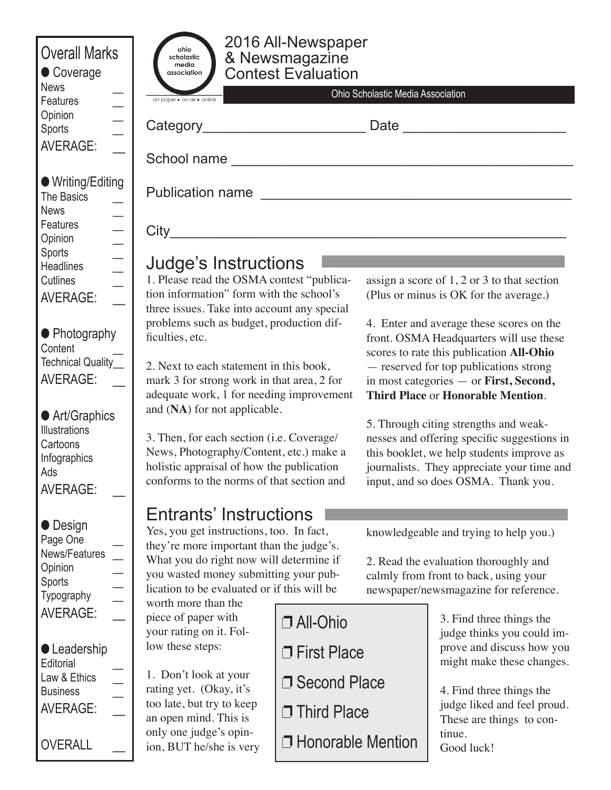| <b>Overall Marks</b><br>Coverage<br><b>News</b>                                                                                                                                                                                                                                                                                                                                                                                                                                                                      | 2016 All-Newspaper<br>ohio<br>& Newsmagazine<br>Contest Evaluation<br>scholastic<br>media<br>association<br>Ohio Scholastic Media Association                                                                                                                                                                                                                                                                                                                                                                                                                                      |                                                        |                                                                                                                                                                                                                                                                                                                                                                                                                                                                                                                                                                                    |                                                                                                                  |
|----------------------------------------------------------------------------------------------------------------------------------------------------------------------------------------------------------------------------------------------------------------------------------------------------------------------------------------------------------------------------------------------------------------------------------------------------------------------------------------------------------------------|------------------------------------------------------------------------------------------------------------------------------------------------------------------------------------------------------------------------------------------------------------------------------------------------------------------------------------------------------------------------------------------------------------------------------------------------------------------------------------------------------------------------------------------------------------------------------------|--------------------------------------------------------|------------------------------------------------------------------------------------------------------------------------------------------------------------------------------------------------------------------------------------------------------------------------------------------------------------------------------------------------------------------------------------------------------------------------------------------------------------------------------------------------------------------------------------------------------------------------------------|------------------------------------------------------------------------------------------------------------------|
| Features<br>Opinion<br><b>Sports</b><br><b>AVERAGE:</b>                                                                                                                                                                                                                                                                                                                                                                                                                                                              | on paper · on air · online<br>Category_                                                                                                                                                                                                                                                                                                                                                                                                                                                                                                                                            |                                                        | Date                                                                                                                                                                                                                                                                                                                                                                                                                                                                                                                                                                               |                                                                                                                  |
| ● Writing/Editing<br>The Basics<br><b>News</b><br>Features<br>Opinion                                                                                                                                                                                                                                                                                                                                                                                                                                                | Publication name                                                                                                                                                                                                                                                                                                                                                                                                                                                                                                                                                                   |                                                        |                                                                                                                                                                                                                                                                                                                                                                                                                                                                                                                                                                                    |                                                                                                                  |
| $\begin{array}{c c c c c} \hline \textbf{1} & \textbf{1} & \textbf{1} & \textbf{1} & \textbf{1} & \textbf{1} & \textbf{1} & \textbf{1} & \textbf{1} & \textbf{1} & \textbf{1} & \textbf{1} & \textbf{1} & \textbf{1} & \textbf{1} & \textbf{1} & \textbf{1} & \textbf{1} & \textbf{1} & \textbf{1} & \textbf{1} & \textbf{1} & \textbf{1} & \textbf{1} & \textbf{1} & \textbf{1} & \textbf{1} & \textbf{1} & \textbf{1}$<br><b>Sports</b><br><b>Headlines</b><br><b>Cutlines</b><br><b>AVERAGE:</b><br>• Photography | Judge's Instructions<br>1. Please read the OSMA contest "publica-<br>tion information" form with the school's<br>three issues. Take into account any special<br>problems such as budget, production dif-<br>ficulties, etc.<br>2. Next to each statement in this book,<br>mark 3 for strong work in that area, 2 for<br>adequate work, 1 for needing improvement<br>and (NA) for not applicable.<br>3. Then, for each section (i.e. Coverage/<br>News, Photography/Content, etc.) make a<br>holistic appraisal of how the publication<br>conforms to the norms of that section and |                                                        | assign a score of 1, 2 or 3 to that section<br>(Plus or minus is OK for the average.)<br>4. Enter and average these scores on the<br>front. OSMA Headquarters will use these<br>scores to rate this publication All-Ohio<br>- reserved for top publications strong<br>in most categories - or First, Second,<br><b>Third Place or Honorable Mention.</b><br>5. Through citing strengths and weak-<br>nesses and offering specific suggestions in<br>this booklet, we help students improve as<br>journalists. They appreciate your time and<br>input, and so does OSMA. Thank you. |                                                                                                                  |
| Content<br>Technical Quality_<br>AVERAGE:<br>● Art/Graphics                                                                                                                                                                                                                                                                                                                                                                                                                                                          |                                                                                                                                                                                                                                                                                                                                                                                                                                                                                                                                                                                    |                                                        |                                                                                                                                                                                                                                                                                                                                                                                                                                                                                                                                                                                    |                                                                                                                  |
| <b>Illustrations</b><br>Cartoons<br>Infographics<br>Ads<br><b>AVERAGE:</b>                                                                                                                                                                                                                                                                                                                                                                                                                                           |                                                                                                                                                                                                                                                                                                                                                                                                                                                                                                                                                                                    |                                                        |                                                                                                                                                                                                                                                                                                                                                                                                                                                                                                                                                                                    |                                                                                                                  |
| $\bullet$ Design<br>Page One<br>News/Features<br>Opinion<br><b>Sports</b><br>Typography                                                                                                                                                                                                                                                                                                                                                                                                                              | <b>Entrants' Instructions</b><br>Yes, you get instructions, too. In fact,<br>they're more important than the judge's.<br>What you do right now will determine if<br>you wasted money submitting your pub-<br>lication to be evaluated or if this will be<br>worth more than the                                                                                                                                                                                                                                                                                                    |                                                        | knowledgeable and trying to help you.)<br>2. Read the evaluation thoroughly and<br>calmly from front to back, using your<br>newspaper/newsmagazine for reference.                                                                                                                                                                                                                                                                                                                                                                                                                  |                                                                                                                  |
| <b>AVERAGE:</b><br><b>C</b> Leadership<br>Editorial                                                                                                                                                                                                                                                                                                                                                                                                                                                                  | piece of paper with<br>your rating on it. Fol-<br>low these steps:                                                                                                                                                                                                                                                                                                                                                                                                                                                                                                                 | □ All-Ohio<br>$\Box$ First Place                       |                                                                                                                                                                                                                                                                                                                                                                                                                                                                                                                                                                                    | 3. Find three things the<br>judge thinks you could im-<br>prove and discuss how you<br>might make these changes. |
| Law & Ethics<br><b>Business</b><br><b>AVERAGE:</b>                                                                                                                                                                                                                                                                                                                                                                                                                                                                   | 1. Don't look at your<br>rating yet. (Okay, it's<br>too late, but try to keep<br>an open mind. This is<br>only one judge's opin-                                                                                                                                                                                                                                                                                                                                                                                                                                                   | □ Second Place<br>□ Third Place<br>□ Honorable Mention |                                                                                                                                                                                                                                                                                                                                                                                                                                                                                                                                                                                    | 4. Find three things the<br>judge liked and feel proud.<br>These are things to con-<br>tinue.                    |
| <b>OVERALL</b>                                                                                                                                                                                                                                                                                                                                                                                                                                                                                                       | ion, BUT he/she is very                                                                                                                                                                                                                                                                                                                                                                                                                                                                                                                                                            |                                                        |                                                                                                                                                                                                                                                                                                                                                                                                                                                                                                                                                                                    | Good luck!                                                                                                       |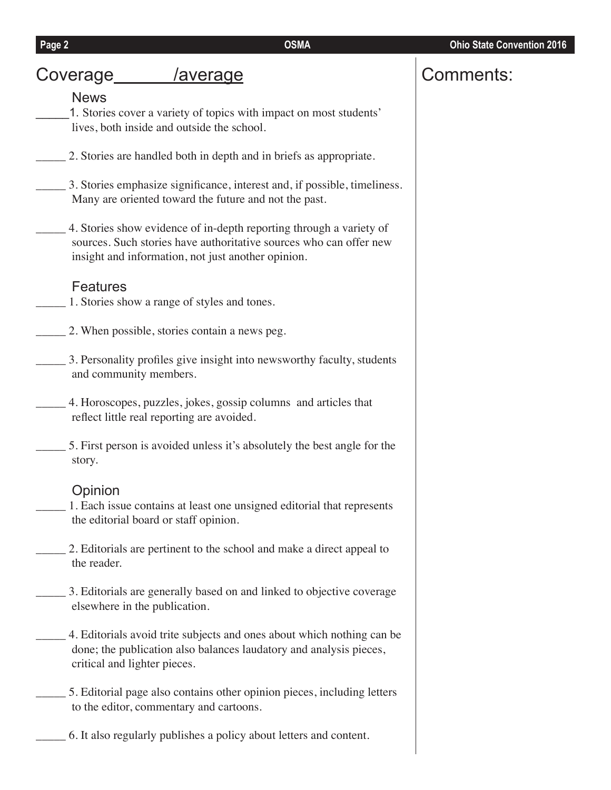# Coverage /average

### News

1. Stories cover a variety of topics with impact on most students' lives, both inside and outside the school.

- \_\_\_\_\_ 2. Stories are handled both in depth and in briefs as appropriate.
	- \_\_\_\_\_ 3. Stories emphasize significance, interest and, if possible, timeliness. Many are oriented toward the future and not the past.
- \_\_\_\_\_ 4. Stories show evidence of in-depth reporting through a variety of sources. Such stories have authoritative sources who can offer new insight and information, not just another opinion.

### Features

- 1. Stories show a range of styles and tones.
- \_\_\_\_\_ 2. When possible, stories contain a news peg.
- \_\_\_\_\_ 3. Personality profiles give insight into newsworthy faculty, students and community members.
- \_\_\_\_\_ 4. Horoscopes, puzzles, jokes, gossip columns and articles that reflect little real reporting are avoided.
- \_\_\_\_\_ 5. First person is avoided unless it's absolutely the best angle for the story.

### **Opinion**

1. Each issue contains at least one unsigned editorial that represents the editorial board or staff opinion.

- \_\_\_\_\_ 2. Editorials are pertinent to the school and make a direct appeal to the reader.
- \_\_\_\_\_ 3. Editorials are generally based on and linked to objective coverage elsewhere in the publication.
- \_\_\_\_\_ 4. Editorials avoid trite subjects and ones about which nothing can be done; the publication also balances laudatory and analysis pieces, critical and lighter pieces.
- \_\_\_\_\_ 5. Editorial page also contains other opinion pieces, including letters to the editor, commentary and cartoons.
	- \_\_\_\_\_ 6. It also regularly publishes a policy about letters and content.

# Comments: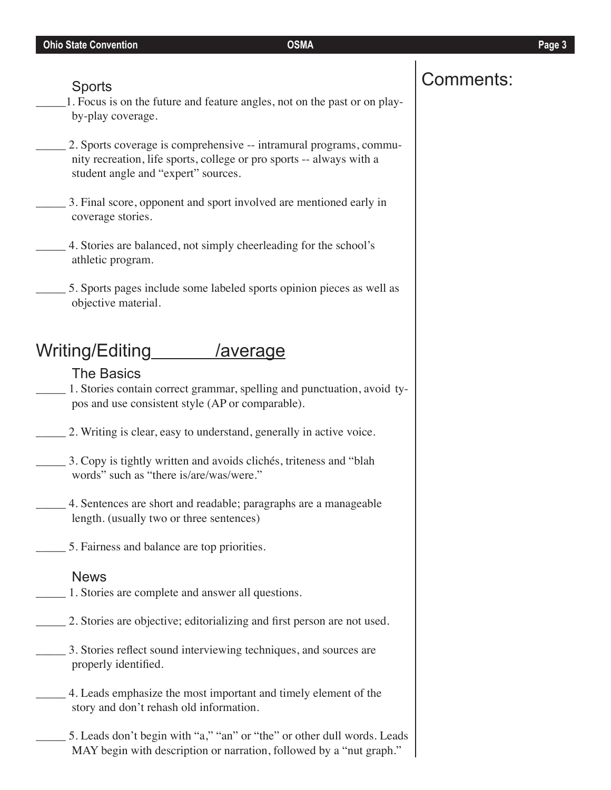- \_\_\_\_\_1. Focus is on the future and feature angles, not on the past or on playby-play coverage.
- \_\_\_\_\_ 2. Sports coverage is comprehensive -- intramural programs, community recreation, life sports, college or pro sports -- always with a student angle and "expert" sources.
- \_\_\_\_\_ 3. Final score, opponent and sport involved are mentioned early in coverage stories.
- \_\_\_\_\_ 4. Stories are balanced, not simply cheerleading for the school's athletic program.
- \_\_\_\_\_ 5. Sports pages include some labeled sports opinion pieces as well as objective material.

# Writing/Editing /average

## The Basics

\_\_\_\_\_ 1. Stories contain correct grammar, spelling and punctuation, avoid typos and use consistent style (AP or comparable).

- \_\_\_\_\_ 2. Writing is clear, easy to understand, generally in active voice.
- \_\_\_\_\_ 3. Copy is tightly written and avoids clichés, triteness and "blah words" such as "there is/are/was/were."
- \_\_\_\_\_ 4. Sentences are short and readable; paragraphs are a manageable length. (usually two or three sentences)
- \_\_\_\_\_ 5. Fairness and balance are top priorities.

### News

- 1. Stories are complete and answer all questions.
	- 2. Stories are objective; editorializing and first person are not used.
- \_\_\_\_\_ 3. Stories reflect sound interviewing techniques, and sources are properly identified.
- \_\_\_\_\_ 4. Leads emphasize the most important and timely element of the story and don't rehash old information.
	- 5. Leads don't begin with "a," "an" or "the" or other dull words. Leads MAY begin with description or narration, followed by a "nut graph."

# Sports  $\vert$  Comments: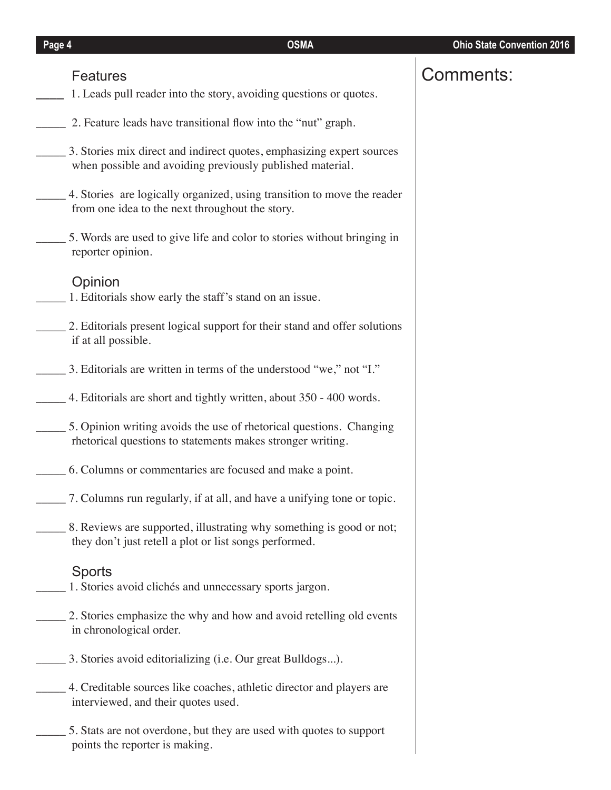## Features

- **\_\_\_\_** 1. Leads pull reader into the story, avoiding questions or quotes.
- 2. Feature leads have transitional flow into the "nut" graph.
- \_\_\_\_\_ 3. Stories mix direct and indirect quotes, emphasizing expert sources when possible and avoiding previously published material.
- \_\_\_\_\_ 4. Stories are logically organized, using transition to move the reader from one idea to the next throughout the story.
- \_\_\_\_\_ 5. Words are used to give life and color to stories without bringing in reporter opinion.

## Opinion

- \_\_\_\_\_ 1. Editorials show early the staff's stand on an issue.
- \_\_\_\_\_ 2. Editorials present logical support for their stand and offer solutions if at all possible.
- \_\_\_\_\_ 3. Editorials are written in terms of the understood "we," not "I."
- \_\_\_\_\_ 4. Editorials are short and tightly written, about 350 400 words.
- \_\_\_\_\_ 5. Opinion writing avoids the use of rhetorical questions. Changing rhetorical questions to statements makes stronger writing.
- \_\_\_\_\_ 6. Columns or commentaries are focused and make a point.
- \_\_\_\_\_ 7. Columns run regularly, if at all, and have a unifying tone or topic.
- 8. Reviews are supported, illustrating why something is good or not; they don't just retell a plot or list songs performed.

## Sports

- \_\_\_\_\_ 1. Stories avoid clichés and unnecessary sports jargon.
- 2. Stories emphasize the why and how and avoid retelling old events in chronological order.
- \_\_\_\_\_ 3. Stories avoid editorializing (i.e. Our great Bulldogs...).
- \_\_\_\_\_ 4. Creditable sources like coaches, athletic director and players are interviewed, and their quotes used.
- \_\_\_\_\_ 5. Stats are not overdone, but they are used with quotes to support points the reporter is making.

# Comments: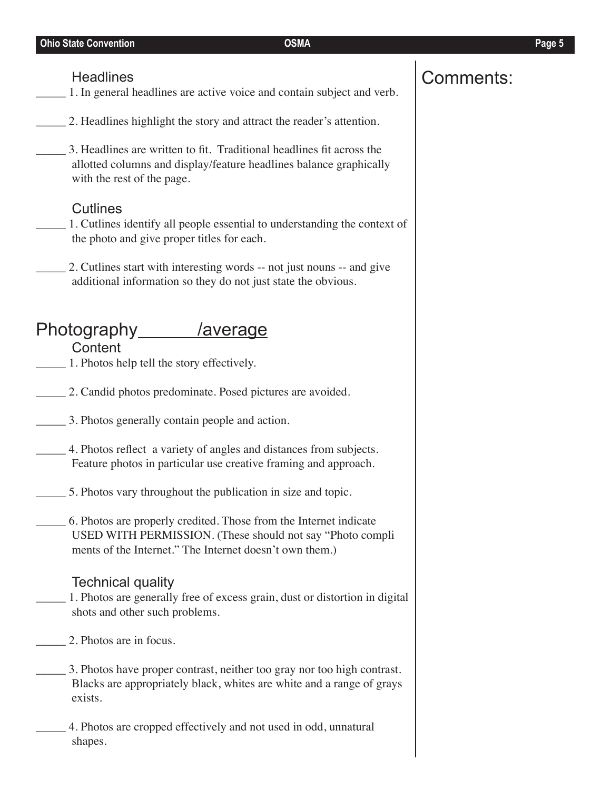\_\_\_\_\_ 1. In general headlines are active voice and contain subject and verb.

- 2. Headlines highlight the story and attract the reader's attention.
- \_\_\_\_\_ 3. Headlines are written to fit. Traditional headlines fit across the allotted columns and display/feature headlines balance graphically with the rest of the page.

# **Cutlines**

- \_\_\_\_\_ 1. Cutlines identify all people essential to understanding the context of the photo and give proper titles for each.
- 2. Cutlines start with interesting words -- not just nouns -- and give additional information so they do not just state the obvious.

# Photography /average **Content**

- \_\_\_\_\_ 1. Photos help tell the story effectively.
- \_\_\_\_\_ 2. Candid photos predominate. Posed pictures are avoided.
- \_\_\_\_\_ 3. Photos generally contain people and action.
- \_\_\_\_\_ 4. Photos reflect a variety of angles and distances from subjects. Feature photos in particular use creative framing and approach.
- \_\_\_\_\_ 5. Photos vary throughout the publication in size and topic.
- \_\_\_\_\_ 6. Photos are properly credited. Those from the Internet indicate USED WITH PERMISSION. (These should not say "Photo compli ments of the Internet." The Internet doesn't own them.)

## Technical quality

- \_\_\_\_\_ 1. Photos are generally free of excess grain, dust or distortion in digital shots and other such problems.
- 2. Photos are in focus.
- \_\_\_\_\_ 3. Photos have proper contrast, neither too gray nor too high contrast. Blacks are appropriately black, whites are white and a range of grays exists.
- \_\_\_\_\_ 4. Photos are cropped effectively and not used in odd, unnatural shapes.

# Headlines **Comments:**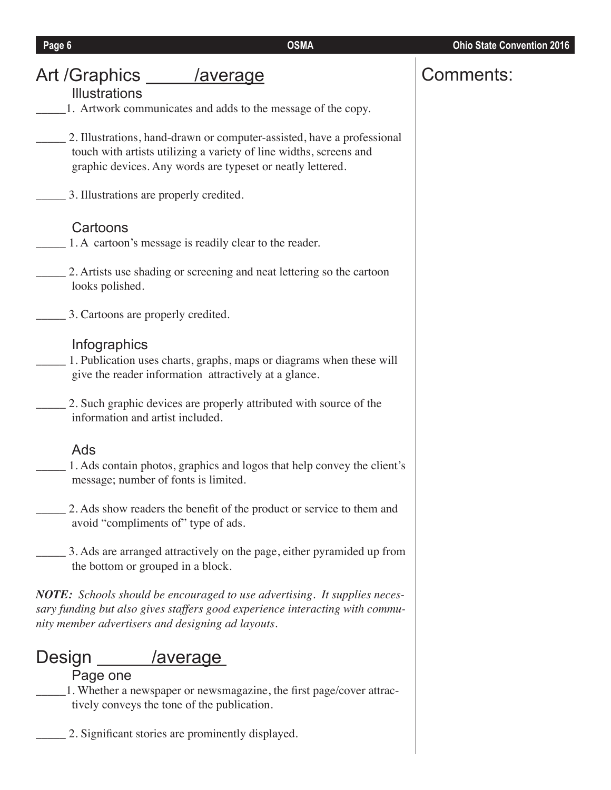| Art /Graphics ______ /average<br><b>Illustrations</b>                                                                                                                                                      | Comments: |
|------------------------------------------------------------------------------------------------------------------------------------------------------------------------------------------------------------|-----------|
| 1. Artwork communicates and adds to the message of the copy.                                                                                                                                               |           |
| 2. Illustrations, hand-drawn or computer-assisted, have a professional<br>touch with artists utilizing a variety of line widths, screens and<br>graphic devices. Any words are typeset or neatly lettered. |           |
| 3. Illustrations are properly credited.                                                                                                                                                                    |           |
| Cartoons<br>1. A cartoon's message is readily clear to the reader.                                                                                                                                         |           |
| 2. Artists use shading or screening and neat lettering so the cartoon<br>looks polished.                                                                                                                   |           |
| 3. Cartoons are properly credited.                                                                                                                                                                         |           |
| Infographics<br>1. Publication uses charts, graphs, maps or diagrams when these will<br>give the reader information attractively at a glance.                                                              |           |
| 2. Such graphic devices are properly attributed with source of the<br>information and artist included.                                                                                                     |           |
| Ads                                                                                                                                                                                                        |           |
| 1. Ads contain photos, graphics and logos that help convey the client's<br>message; number of fonts is limited.                                                                                            |           |
| 2. Ads show readers the benefit of the product or service to them and<br>avoid "compliments of" type of ads.                                                                                               |           |
| 3. Ads are arranged attractively on the page, either pyramided up from<br>the bottom or grouped in a block.                                                                                                |           |

**Page 6** OSMA **OSMA OSMA OSMA ORMA ORMA ORMA ORMA ORMA ORMA ORMA ORMA ORMA ORMA ORMA ORMA** 

*NOTE: Schools should be encouraged to use advertising. It supplies necessary funding but also gives staffers good experience interacting with community member advertisers and designing ad layouts.*

# Design /average

# Page one

\_\_\_\_\_1. Whether a newspaper or newsmagazine, the first page/cover attractively conveys the tone of the publication.

\_\_\_\_\_ 2. Significant stories are prominently displayed.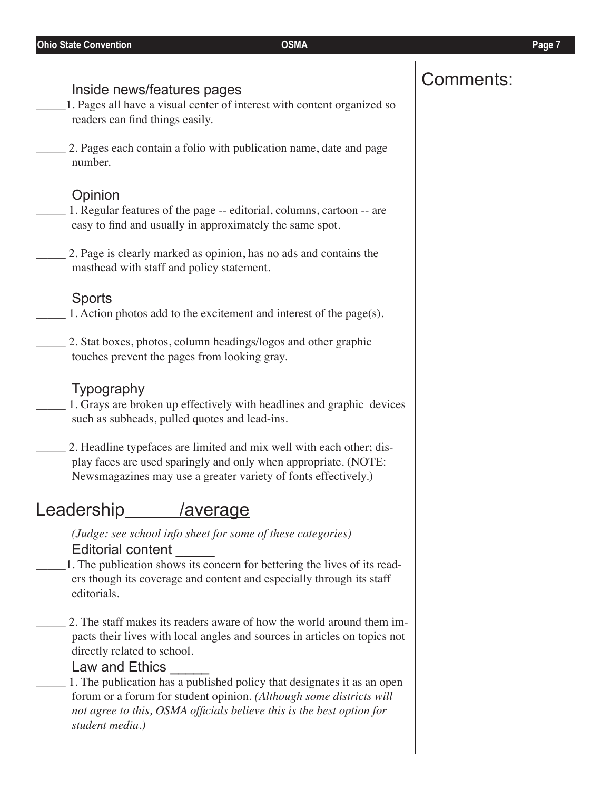# Comments: Inside news/features pages

- \_\_\_\_\_1. Pages all have a visual center of interest with content organized so readers can find things easily.
- \_\_\_\_\_ 2. Pages each contain a folio with publication name, date and page number.

## **Opinion**

- \_\_\_\_\_ 1. Regular features of the page -- editorial, columns, cartoon -- are easy to find and usually in approximately the same spot.
- \_\_\_\_\_ 2. Page is clearly marked as opinion, has no ads and contains the masthead with staff and policy statement.

## Sports

- \_\_\_\_\_ 1. Action photos add to the excitement and interest of the page(s).
	- \_\_\_\_\_ 2. Stat boxes, photos, column headings/logos and other graphic touches prevent the pages from looking gray.

## Typography

- 1. Grays are broken up effectively with headlines and graphic devices such as subheads, pulled quotes and lead-ins.
- 2. Headline typefaces are limited and mix well with each other; display faces are used sparingly and only when appropriate. (NOTE: Newsmagazines may use a greater variety of fonts effectively.)

# Leadership /average

*(Judge: see school info sheet for some of these categories)* Editorial content \_\_\_\_\_

\_\_\_\_\_1. The publication shows its concern for bettering the lives of its readers though its coverage and content and especially through its staff editorials.

2. The staff makes its readers aware of how the world around them impacts their lives with local angles and sources in articles on topics not directly related to school.

## Law and Ethics

1. The publication has a published policy that designates it as an open forum or a forum for student opinion. *(Although some districts will not agree to this, OSMA officials believe this is the best option for student media.)*